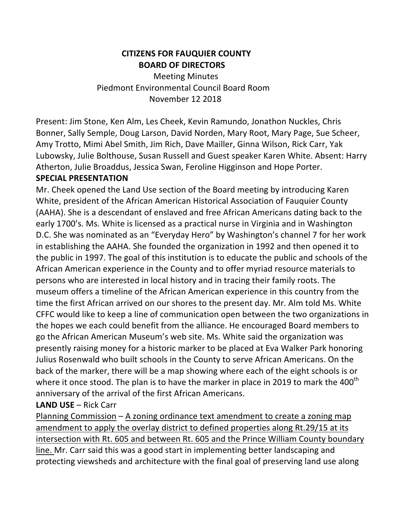### **CITIZENS FOR FAUQUIER COUNTY BOARD OF DIRECTORS**

**Meeting Minutes** Piedmont Environmental Council Board Room November 12 2018

Present: Jim Stone, Ken Alm, Les Cheek, Kevin Ramundo, Jonathon Nuckles, Chris Bonner, Sally Semple, Doug Larson, David Norden, Mary Root, Mary Page, Sue Scheer, Amy Trotto, Mimi Abel Smith, Jim Rich, Dave Mailler, Ginna Wilson, Rick Carr, Yak Lubowsky, Julie Bolthouse, Susan Russell and Guest speaker Karen White. Absent: Harry Atherton, Julie Broaddus, Jessica Swan, Feroline Higginson and Hope Porter. **SPECIAL PRESENTATION**

Mr. Cheek opened the Land Use section of the Board meeting by introducing Karen White, president of the African American Historical Association of Fauquier County (AAHA). She is a descendant of enslaved and free African Americans dating back to the early 1700's. Ms. White is licensed as a practical nurse in Virginia and in Washington D.C. She was nominated as an "Everyday Hero" by Washington's channel 7 for her work in establishing the AAHA. She founded the organization in 1992 and then opened it to the public in 1997. The goal of this institution is to educate the public and schools of the African American experience in the County and to offer myriad resource materials to persons who are interested in local history and in tracing their family roots. The museum offers a timeline of the African American experience in this country from the time the first African arrived on our shores to the present day. Mr. Alm told Ms. White CFFC would like to keep a line of communication open between the two organizations in the hopes we each could benefit from the alliance. He encouraged Board members to go the African American Museum's web site. Ms. White said the organization was presently raising money for a historic marker to be placed at Eva Walker Park honoring Julius Rosenwald who built schools in the County to serve African Americans. On the back of the marker, there will be a map showing where each of the eight schools is or where it once stood. The plan is to have the marker in place in 2019 to mark the 400<sup>th</sup> anniversary of the arrival of the first African Americans.

### **LAND USE** – Rick Carr

Planning Commission – A zoning ordinance text amendment to create a zoning map amendment to apply the overlay district to defined properties along Rt.29/15 at its intersection with Rt. 605 and between Rt. 605 and the Prince William County boundary line. Mr. Carr said this was a good start in implementing better landscaping and protecting viewsheds and architecture with the final goal of preserving land use along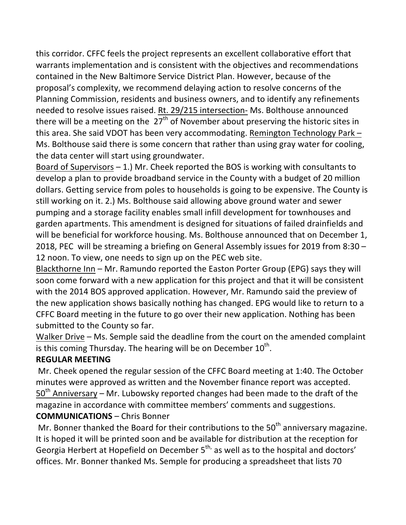this corridor. CFFC feels the project represents an excellent collaborative effort that warrants implementation and is consistent with the objectives and recommendations contained in the New Baltimore Service District Plan. However, because of the proposal's complexity, we recommend delaying action to resolve concerns of the Planning Commission, residents and business owners, and to identify any refinements needed to resolve issues raised. Rt. 29/215 intersection- Ms. Bolthouse announced there will be a meeting on the  $27<sup>th</sup>$  of November about preserving the historic sites in this area. She said VDOT has been very accommodating. Remington Technology Park  $-$ Ms. Bolthouse said there is some concern that rather than using gray water for cooling, the data center will start using groundwater.

Board of Supervisors  $-1$ .) Mr. Cheek reported the BOS is working with consultants to develop a plan to provide broadband service in the County with a budget of 20 million dollars. Getting service from poles to households is going to be expensive. The County is still working on it. 2.) Ms. Bolthouse said allowing above ground water and sewer pumping and a storage facility enables small infill development for townhouses and garden apartments. This amendment is designed for situations of failed drainfields and will be beneficial for workforce housing. Ms. Bolthouse announced that on December 1, 2018, PEC will be streaming a briefing on General Assembly issues for 2019 from 8:30  $-$ 12 noon. To view, one needs to sign up on the PEC web site.

Blackthorne Inn – Mr. Ramundo reported the Easton Porter Group (EPG) says they will soon come forward with a new application for this project and that it will be consistent with the 2014 BOS approved application. However, Mr. Ramundo said the preview of the new application shows basically nothing has changed. EPG would like to return to a CFFC Board meeting in the future to go over their new application. Nothing has been submitted to the County so far.

Walker Drive – Ms. Semple said the deadline from the court on the amended complaint is this coming Thursday. The hearing will be on December  $10^{th}$ .

# **REGULAR MEETING**

Mr. Cheek opened the regular session of the CFFC Board meeting at 1:40. The October minutes were approved as written and the November finance report was accepted.  $50<sup>th</sup>$  Anniversary – Mr. Lubowsky reported changes had been made to the draft of the magazine in accordance with committee members' comments and suggestions.

### **COMMUNICATIONS** – Chris Bonner

Mr. Bonner thanked the Board for their contributions to the  $50<sup>th</sup>$  anniversary magazine. It is hoped it will be printed soon and be available for distribution at the reception for Georgia Herbert at Hopefield on December  $5^{th}$ , as well as to the hospital and doctors' offices. Mr. Bonner thanked Ms. Semple for producing a spreadsheet that lists 70